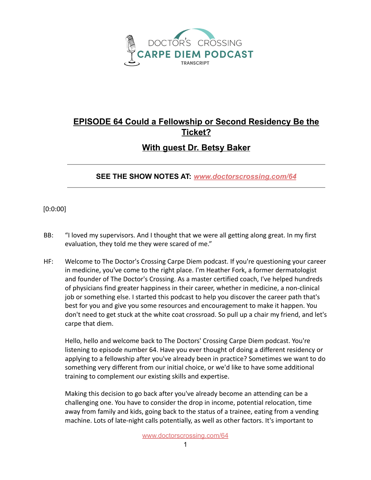

## **EPISODE 64 Could a Fellowship or Second Residency Be the Ticket?**

## **With guest Dr. Betsy Baker**

## **SEE THE SHOW NOTES AT:** *[www.doctorscrossing.com/64](http://www.doctorscrossing.com/64)*

[0:0:00]

- BB: "I loved my supervisors. And I thought that we were all getting along great. In my first evaluation, they told me they were scared of me."
- HF: Welcome to The Doctor's Crossing Carpe Diem podcast. If you're questioning your career in medicine, you've come to the right place. I'm Heather Fork, a former dermatologist and founder of The Doctor's Crossing. As a master certified coach, I've helped hundreds of physicians find greater happiness in their career, whether in medicine, a non-clinical job or something else. I started this podcast to help you discover the career path that's best for you and give you some resources and encouragement to make it happen. You don't need to get stuck at the white coat crossroad. So pull up a chair my friend, and let's carpe that diem.

Hello, hello and welcome back to The Doctors' Crossing Carpe Diem podcast. You're listening to episode number 64. Have you ever thought of doing a different residency or applying to a fellowship after you've already been in practice? Sometimes we want to do something very different from our initial choice, or we'd like to have some additional training to complement our existing skills and expertise.

Making this decision to go back after you've already become an attending can be a challenging one. You have to consider the drop in income, potential relocation, time away from family and kids, going back to the status of a trainee, eating from a vending machine. Lots of late-night calls potentially, as well as other factors. It's important to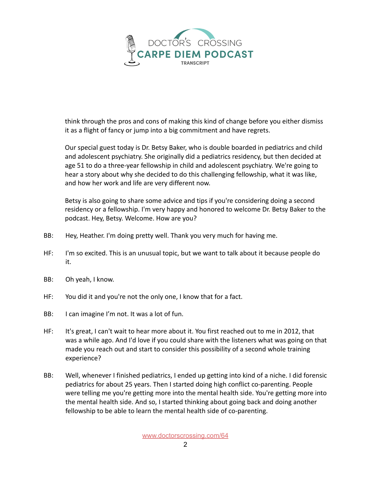

think through the pros and cons of making this kind of change before you either dismiss it as a flight of fancy or jump into a big commitment and have regrets.

Our special guest today is Dr. Betsy Baker, who is double boarded in pediatrics and child and adolescent psychiatry. She originally did a pediatrics residency, but then decided at age 51 to do a three-year fellowship in child and adolescent psychiatry. We're going to hear a story about why she decided to do this challenging fellowship, what it was like, and how her work and life are very different now.

Betsy is also going to share some advice and tips if you're considering doing a second residency or a fellowship. I'm very happy and honored to welcome Dr. Betsy Baker to the podcast. Hey, Betsy. Welcome. How are you?

- BB: Hey, Heather. I'm doing pretty well. Thank you very much for having me.
- HF: I'm so excited. This is an unusual topic, but we want to talk about it because people do it.
- BB: Oh yeah, I know.
- HF: You did it and you're not the only one, I know that for a fact.
- BB: I can imagine I'm not. It was a lot of fun.
- HF: It's great, I can't wait to hear more about it. You first reached out to me in 2012, that was a while ago. And I'd love if you could share with the listeners what was going on that made you reach out and start to consider this possibility of a second whole training experience?
- BB: Well, whenever I finished pediatrics, I ended up getting into kind of a niche. I did forensic pediatrics for about 25 years. Then I started doing high conflict co-parenting. People were telling me you're getting more into the mental health side. You're getting more into the mental health side. And so, I started thinking about going back and doing another fellowship to be able to learn the mental health side of co-parenting.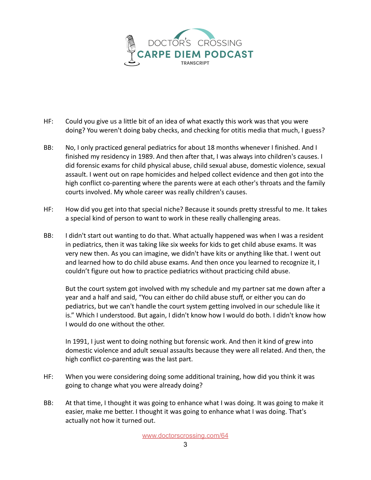

- HF: Could you give us a little bit of an idea of what exactly this work was that you were doing? You weren't doing baby checks, and checking for otitis media that much, I guess?
- BB: No, I only practiced general pediatrics for about 18 months whenever I finished. And I finished my residency in 1989. And then after that, I was always into children's causes. I did forensic exams for child physical abuse, child sexual abuse, domestic violence, sexual assault. I went out on rape homicides and helped collect evidence and then got into the high conflict co-parenting where the parents were at each other's throats and the family courts involved. My whole career was really children's causes.
- HF: How did you get into that special niche? Because it sounds pretty stressful to me. It takes a special kind of person to want to work in these really challenging areas.
- BB: I didn't start out wanting to do that. What actually happened was when I was a resident in pediatrics, then it was taking like six weeks for kids to get child abuse exams. It was very new then. As you can imagine, we didn't have kits or anything like that. I went out and learned how to do child abuse exams. And then once you learned to recognize it, I couldn't figure out how to practice pediatrics without practicing child abuse.

But the court system got involved with my schedule and my partner sat me down after a year and a half and said, "You can either do child abuse stuff, or either you can do pediatrics, but we can't handle the court system getting involved in our schedule like it is." Which I understood. But again, I didn't know how I would do both. I didn't know how I would do one without the other.

In 1991, I just went to doing nothing but forensic work. And then it kind of grew into domestic violence and adult sexual assaults because they were all related. And then, the high conflict co-parenting was the last part.

- HF: When you were considering doing some additional training, how did you think it was going to change what you were already doing?
- BB: At that time, I thought it was going to enhance what I was doing. It was going to make it easier, make me better. I thought it was going to enhance what I was doing. That's actually not how it turned out.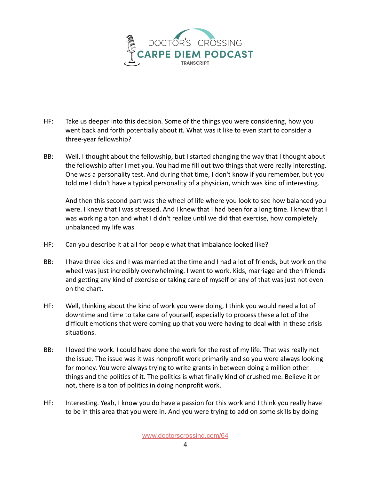

- HF: Take us deeper into this decision. Some of the things you were considering, how you went back and forth potentially about it. What was it like to even start to consider a three-year fellowship?
- BB: Well, I thought about the fellowship, but I started changing the way that I thought about the fellowship after I met you. You had me fill out two things that were really interesting. One was a personality test. And during that time, I don't know if you remember, but you told me I didn't have a typical personality of a physician, which was kind of interesting.

And then this second part was the wheel of life where you look to see how balanced you were. I knew that I was stressed. And I knew that I had been for a long time. I knew that I was working a ton and what I didn't realize until we did that exercise, how completely unbalanced my life was.

- HF: Can you describe it at all for people what that imbalance looked like?
- BB: I have three kids and I was married at the time and I had a lot of friends, but work on the wheel was just incredibly overwhelming. I went to work. Kids, marriage and then friends and getting any kind of exercise or taking care of myself or any of that was just not even on the chart.
- HF: Well, thinking about the kind of work you were doing, I think you would need a lot of downtime and time to take care of yourself, especially to process these a lot of the difficult emotions that were coming up that you were having to deal with in these crisis situations.
- BB: I loved the work. I could have done the work for the rest of my life. That was really not the issue. The issue was it was nonprofit work primarily and so you were always looking for money. You were always trying to write grants in between doing a million other things and the politics of it. The politics is what finally kind of crushed me. Believe it or not, there is a ton of politics in doing nonprofit work.
- HF: Interesting. Yeah, I know you do have a passion for this work and I think you really have to be in this area that you were in. And you were trying to add on some skills by doing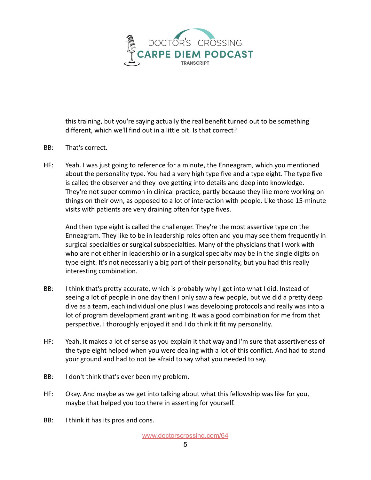

this training, but you're saying actually the real benefit turned out to be something different, which we'll find out in a little bit. Is that correct?

- BB: That's correct.
- HF: Yeah. I was just going to reference for a minute, the Enneagram, which you mentioned about the personality type. You had a very high type five and a type eight. The type five is called the observer and they love getting into details and deep into knowledge. They're not super common in clinical practice, partly because they like more working on things on their own, as opposed to a lot of interaction with people. Like those 15-minute visits with patients are very draining often for type fives.

And then type eight is called the challenger. They're the most assertive type on the Enneagram. They like to be in leadership roles often and you may see them frequently in surgical specialties or surgical subspecialties. Many of the physicians that I work with who are not either in leadership or in a surgical specialty may be in the single digits on type eight. It's not necessarily a big part of their personality, but you had this really interesting combination.

- BB: I think that's pretty accurate, which is probably why I got into what I did. Instead of seeing a lot of people in one day then I only saw a few people, but we did a pretty deep dive as a team, each individual one plus I was developing protocols and really was into a lot of program development grant writing. It was a good combination for me from that perspective. I thoroughly enjoyed it and I do think it fit my personality.
- HF: Yeah. It makes a lot of sense as you explain it that way and I'm sure that assertiveness of the type eight helped when you were dealing with a lot of this conflict. And had to stand your ground and had to not be afraid to say what you needed to say.
- BB: I don't think that's ever been my problem.
- HF: Okay. And maybe as we get into talking about what this fellowship was like for you, maybe that helped you too there in asserting for yourself.
- BB: I think it has its pros and cons.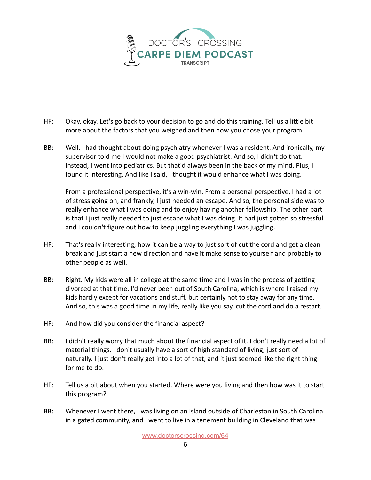

- HF: Okay, okay. Let's go back to your decision to go and do this training. Tell us a little bit more about the factors that you weighed and then how you chose your program.
- BB: Well, I had thought about doing psychiatry whenever I was a resident. And ironically, my supervisor told me I would not make a good psychiatrist. And so, I didn't do that. Instead, I went into pediatrics. But that'd always been in the back of my mind. Plus, I found it interesting. And like I said, I thought it would enhance what I was doing.

From a professional perspective, it's a win-win. From a personal perspective, I had a lot of stress going on, and frankly, I just needed an escape. And so, the personal side was to really enhance what I was doing and to enjoy having another fellowship. The other part is that I just really needed to just escape what I was doing. It had just gotten so stressful and I couldn't figure out how to keep juggling everything I was juggling.

- HF: That's really interesting, how it can be a way to just sort of cut the cord and get a clean break and just start a new direction and have it make sense to yourself and probably to other people as well.
- BB: Right. My kids were all in college at the same time and I was in the process of getting divorced at that time. I'd never been out of South Carolina, which is where I raised my kids hardly except for vacations and stuff, but certainly not to stay away for any time. And so, this was a good time in my life, really like you say, cut the cord and do a restart.
- HF: And how did you consider the financial aspect?
- BB: I didn't really worry that much about the financial aspect of it. I don't really need a lot of material things. I don't usually have a sort of high standard of living, just sort of naturally. I just don't really get into a lot of that, and it just seemed like the right thing for me to do.
- HF: Tell us a bit about when you started. Where were you living and then how was it to start this program?
- BB: Whenever I went there, I was living on an island outside of Charleston in South Carolina in a gated community, and I went to live in a tenement building in Cleveland that was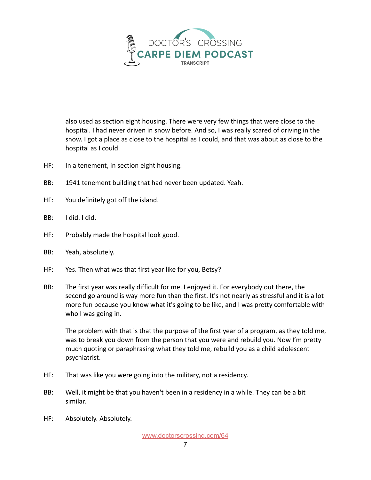

also used as section eight housing. There were very few things that were close to the hospital. I had never driven in snow before. And so, I was really scared of driving in the snow. I got a place as close to the hospital as I could, and that was about as close to the hospital as I could.

- HF: In a tenement, in section eight housing.
- BB: 1941 tenement building that had never been updated. Yeah.
- HF: You definitely got off the island.
- BB: I did. I did.
- HF: Probably made the hospital look good.
- BB: Yeah, absolutely.
- HF: Yes. Then what was that first year like for you, Betsy?
- BB: The first year was really difficult for me. I enjoyed it. For everybody out there, the second go around is way more fun than the first. It's not nearly as stressful and it is a lot more fun because you know what it's going to be like, and I was pretty comfortable with who I was going in.

The problem with that is that the purpose of the first year of a program, as they told me, was to break you down from the person that you were and rebuild you. Now I'm pretty much quoting or paraphrasing what they told me, rebuild you as a child adolescent psychiatrist.

- HF: That was like you were going into the military, not a residency.
- BB: Well, it might be that you haven't been in a residency in a while. They can be a bit similar.
- HF: Absolutely. Absolutely.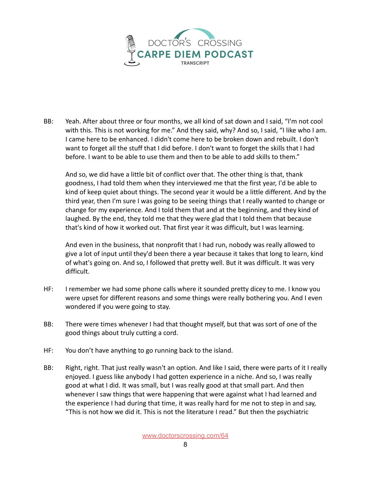

BB: Yeah. After about three or four months, we all kind of sat down and I said, "I'm not cool with this. This is not working for me." And they said, why? And so, I said, "I like who I am. I came here to be enhanced. I didn't come here to be broken down and rebuilt. I don't want to forget all the stuff that I did before. I don't want to forget the skills that I had before. I want to be able to use them and then to be able to add skills to them."

And so, we did have a little bit of conflict over that. The other thing is that, thank goodness, I had told them when they interviewed me that the first year, I'd be able to kind of keep quiet about things. The second year it would be a little different. And by the third year, then I'm sure I was going to be seeing things that I really wanted to change or change for my experience. And I told them that and at the beginning, and they kind of laughed. By the end, they told me that they were glad that I told them that because that's kind of how it worked out. That first year it was difficult, but I was learning.

And even in the business, that nonprofit that I had run, nobody was really allowed to give a lot of input until they'd been there a year because it takes that long to learn, kind of what's going on. And so, I followed that pretty well. But it was difficult. It was very difficult.

- HF: I remember we had some phone calls where it sounded pretty dicey to me. I know you were upset for different reasons and some things were really bothering you. And I even wondered if you were going to stay.
- BB: There were times whenever I had that thought myself, but that was sort of one of the good things about truly cutting a cord.
- HF: You don't have anything to go running back to the island.
- BB: Right, right. That just really wasn't an option. And like I said, there were parts of it I really enjoyed. I guess like anybody I had gotten experience in a niche. And so, I was really good at what I did. It was small, but I was really good at that small part. And then whenever I saw things that were happening that were against what I had learned and the experience I had during that time, it was really hard for me not to step in and say, "This is not how we did it. This is not the literature I read." But then the psychiatric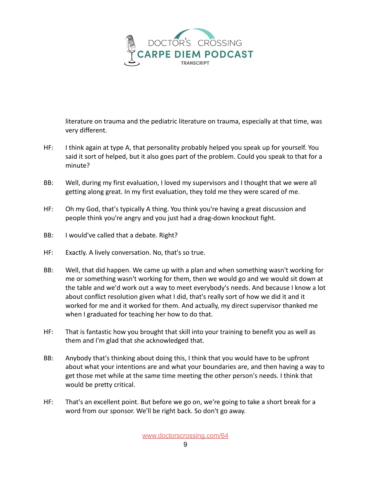

literature on trauma and the pediatric literature on trauma, especially at that time, was very different.

- HF: I think again at type A, that personality probably helped you speak up for yourself. You said it sort of helped, but it also goes part of the problem. Could you speak to that for a minute?
- BB: Well, during my first evaluation, I loved my supervisors and I thought that we were all getting along great. In my first evaluation, they told me they were scared of me.
- HF: Oh my God, that's typically A thing. You think you're having a great discussion and people think you're angry and you just had a drag-down knockout fight.
- BB: I would've called that a debate. Right?
- HF: Exactly. A lively conversation. No, that's so true.
- BB: Well, that did happen. We came up with a plan and when something wasn't working for me or something wasn't working for them, then we would go and we would sit down at the table and we'd work out a way to meet everybody's needs. And because I know a lot about conflict resolution given what I did, that's really sort of how we did it and it worked for me and it worked for them. And actually, my direct supervisor thanked me when I graduated for teaching her how to do that.
- HF: That is fantastic how you brought that skill into your training to benefit you as well as them and I'm glad that she acknowledged that.
- BB: Anybody that's thinking about doing this, I think that you would have to be upfront about what your intentions are and what your boundaries are, and then having a way to get those met while at the same time meeting the other person's needs. I think that would be pretty critical.
- HF: That's an excellent point. But before we go on, we're going to take a short break for a word from our sponsor. We'll be right back. So don't go away.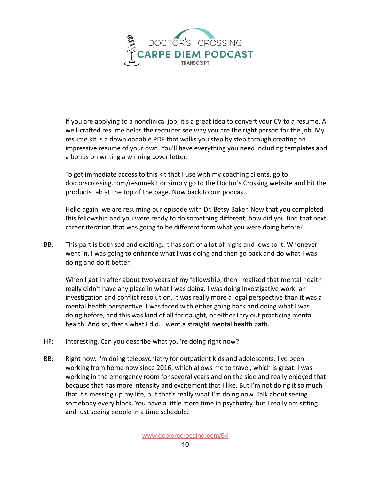

If you are applying to a nonclinical job, it's a great idea to convert your CV to a resume. A well-crafted resume helps the recruiter see why you are the right person for the job. My resume kit is a downloadable PDF that walks you step by step through creating an impressive resume of your own. You'll have everything you need including templates and a bonus on writing a winning cover letter.

To get immediate access to this kit that I use with my coaching clients, go to doctorscrossing.com/resumekit or simply go to the Doctor's Crossing website and hit the products tab at the top of the page. Now back to our podcast.

Hello again, we are resuming our episode with Dr. Betsy Baker. Now that you completed this fellowship and you were ready to do something different, how did you find that next career iteration that was going to be different from what you were doing before?

BB: This part is both sad and exciting. It has sort of a lot of highs and lows to it. Whenever I went in, I was going to enhance what I was doing and then go back and do what I was doing and do it better.

When I got in after about two years of my fellowship, then I realized that mental health really didn't have any place in what I was doing. I was doing investigative work, an investigation and conflict resolution. It was really more a legal perspective than it was a mental health perspective. I was faced with either going back and doing what I was doing before, and this was kind of all for naught, or either I try out practicing mental health. And so, that's what I did. I went a straight mental health path.

- HF: Interesting. Can you describe what you're doing right now?
- BB: Right now, I'm doing telepsychiatry for outpatient kids and adolescents. I've been working from home now since 2016, which allows me to travel, which is great. I was working in the emergency room for several years and on the side and really enjoyed that because that has more intensity and excitement that I like. But I'm not doing it so much that it's messing up my life, but that's really what I'm doing now. Talk about seeing somebody every block. You have a little more time in psychiatry, but I really am sitting and just seeing people in a time schedule.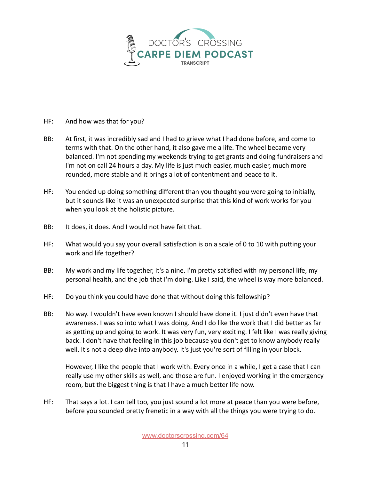

- HF: And how was that for you?
- BB: At first, it was incredibly sad and I had to grieve what I had done before, and come to terms with that. On the other hand, it also gave me a life. The wheel became very balanced. I'm not spending my weekends trying to get grants and doing fundraisers and I'm not on call 24 hours a day. My life is just much easier, much easier, much more rounded, more stable and it brings a lot of contentment and peace to it.
- HF: You ended up doing something different than you thought you were going to initially, but it sounds like it was an unexpected surprise that this kind of work works for you when you look at the holistic picture.
- BB: It does, it does. And I would not have felt that.
- HF: What would you say your overall satisfaction is on a scale of 0 to 10 with putting your work and life together?
- BB: My work and my life together, it's a nine. I'm pretty satisfied with my personal life, my personal health, and the job that I'm doing. Like I said, the wheel is way more balanced.
- HF: Do you think you could have done that without doing this fellowship?
- BB: No way. I wouldn't have even known I should have done it. I just didn't even have that awareness. I was so into what I was doing. And I do like the work that I did better as far as getting up and going to work. It was very fun, very exciting. I felt like I was really giving back. I don't have that feeling in this job because you don't get to know anybody really well. It's not a deep dive into anybody. It's just you're sort of filling in your block.

However, I like the people that I work with. Every once in a while, I get a case that I can really use my other skills as well, and those are fun. I enjoyed working in the emergency room, but the biggest thing is that I have a much better life now.

HF: That says a lot. I can tell too, you just sound a lot more at peace than you were before, before you sounded pretty frenetic in a way with all the things you were trying to do.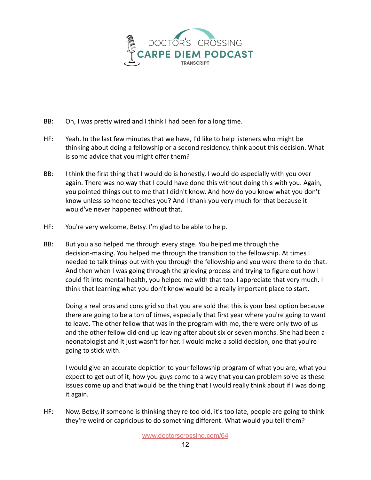

- BB: Oh, I was pretty wired and I think I had been for a long time.
- HF: Yeah. In the last few minutes that we have, I'd like to help listeners who might be thinking about doing a fellowship or a second residency, think about this decision. What is some advice that you might offer them?
- BB: I think the first thing that I would do is honestly, I would do especially with you over again. There was no way that I could have done this without doing this with you. Again, you pointed things out to me that I didn't know. And how do you know what you don't know unless someone teaches you? And I thank you very much for that because it would've never happened without that.
- HF: You're very welcome, Betsy. I'm glad to be able to help.
- BB: But you also helped me through every stage. You helped me through the decision-making. You helped me through the transition to the fellowship. At times I needed to talk things out with you through the fellowship and you were there to do that. And then when I was going through the grieving process and trying to figure out how I could fit into mental health, you helped me with that too. I appreciate that very much. I think that learning what you don't know would be a really important place to start.

Doing a real pros and cons grid so that you are sold that this is your best option because there are going to be a ton of times, especially that first year where you're going to want to leave. The other fellow that was in the program with me, there were only two of us and the other fellow did end up leaving after about six or seven months. She had been a neonatologist and it just wasn't for her. I would make a solid decision, one that you're going to stick with.

I would give an accurate depiction to your fellowship program of what you are, what you expect to get out of it, how you guys come to a way that you can problem solve as these issues come up and that would be the thing that I would really think about if I was doing it again.

HF: Now, Betsy, if someone is thinking they're too old, it's too late, people are going to think they're weird or capricious to do something different. What would you tell them?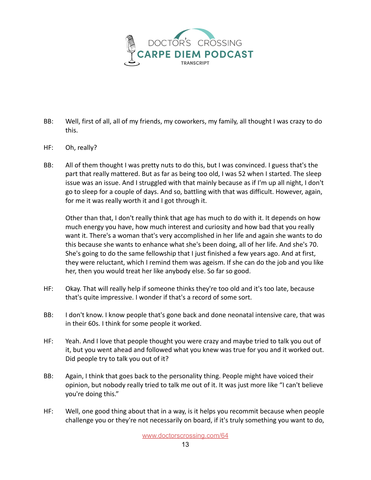

- BB: Well, first of all, all of my friends, my coworkers, my family, all thought I was crazy to do this.
- HF: Oh, really?
- BB: All of them thought I was pretty nuts to do this, but I was convinced. I guess that's the part that really mattered. But as far as being too old, I was 52 when I started. The sleep issue was an issue. And I struggled with that mainly because as if I'm up all night, I don't go to sleep for a couple of days. And so, battling with that was difficult. However, again, for me it was really worth it and I got through it.

Other than that, I don't really think that age has much to do with it. It depends on how much energy you have, how much interest and curiosity and how bad that you really want it. There's a woman that's very accomplished in her life and again she wants to do this because she wants to enhance what she's been doing, all of her life. And she's 70. She's going to do the same fellowship that I just finished a few years ago. And at first, they were reluctant, which I remind them was ageism. If she can do the job and you like her, then you would treat her like anybody else. So far so good.

- HF: Okay. That will really help if someone thinks they're too old and it's too late, because that's quite impressive. I wonder if that's a record of some sort.
- BB: I don't know. I know people that's gone back and done neonatal intensive care, that was in their 60s. I think for some people it worked.
- HF: Yeah. And I love that people thought you were crazy and maybe tried to talk you out of it, but you went ahead and followed what you knew was true for you and it worked out. Did people try to talk you out of it?
- BB: Again, I think that goes back to the personality thing. People might have voiced their opinion, but nobody really tried to talk me out of it. It was just more like "I can't believe you're doing this."
- HF: Well, one good thing about that in a way, is it helps you recommit because when people challenge you or they're not necessarily on board, if it's truly something you want to do,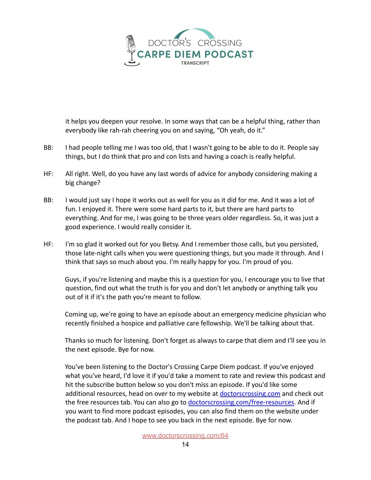

it helps you deepen your resolve. In some ways that can be a helpful thing, rather than everybody like rah-rah cheering you on and saying, "Oh yeah, do it."

- BB: I had people telling me I was too old, that I wasn't going to be able to do it. People say things, but I do think that pro and con lists and having a coach is really helpful.
- HF: All right. Well, do you have any last words of advice for anybody considering making a big change?
- BB: I would just say I hope it works out as well for you as it did for me. And it was a lot of fun. I enjoyed it. There were some hard parts to it, but there are hard parts to everything. And for me, I was going to be three years older regardless. So, it was just a good experience. I would really consider it.
- HF: I'm so glad it worked out for you Betsy. And I remember those calls, but you persisted, those late-night calls when you were questioning things, but you made it through. And I think that says so much about you. I'm really happy for you. I'm proud of you.

Guys, if you're listening and maybe this is a question for you, I encourage you to live that question, find out what the truth is for you and don't let anybody or anything talk you out of it if it's the path you're meant to follow.

Coming up, we're going to have an episode about an emergency medicine physician who recently finished a hospice and palliative care fellowship. We'll be talking about that.

Thanks so much for listening. Don't forget as always to carpe that diem and I'll see you in the next episode. Bye for now.

You've been listening to the Doctor's Crossing Carpe Diem podcast. If you've enjoyed what you've heard, I'd love it if you'd take a moment to rate and review this podcast and hit the subscribe button below so you don't miss an episode. If you'd like some additional resources, head on over to my website at doctorscrossing.com and check out the free resources tab. You can also go to [doctorscrossing.com/free-resources.](http://doctorscrossing.com/free-resources) And if you want to find more podcast episodes, you can also find them on the website under the podcast tab. And I hope to see you back in the next episode. Bye for now.